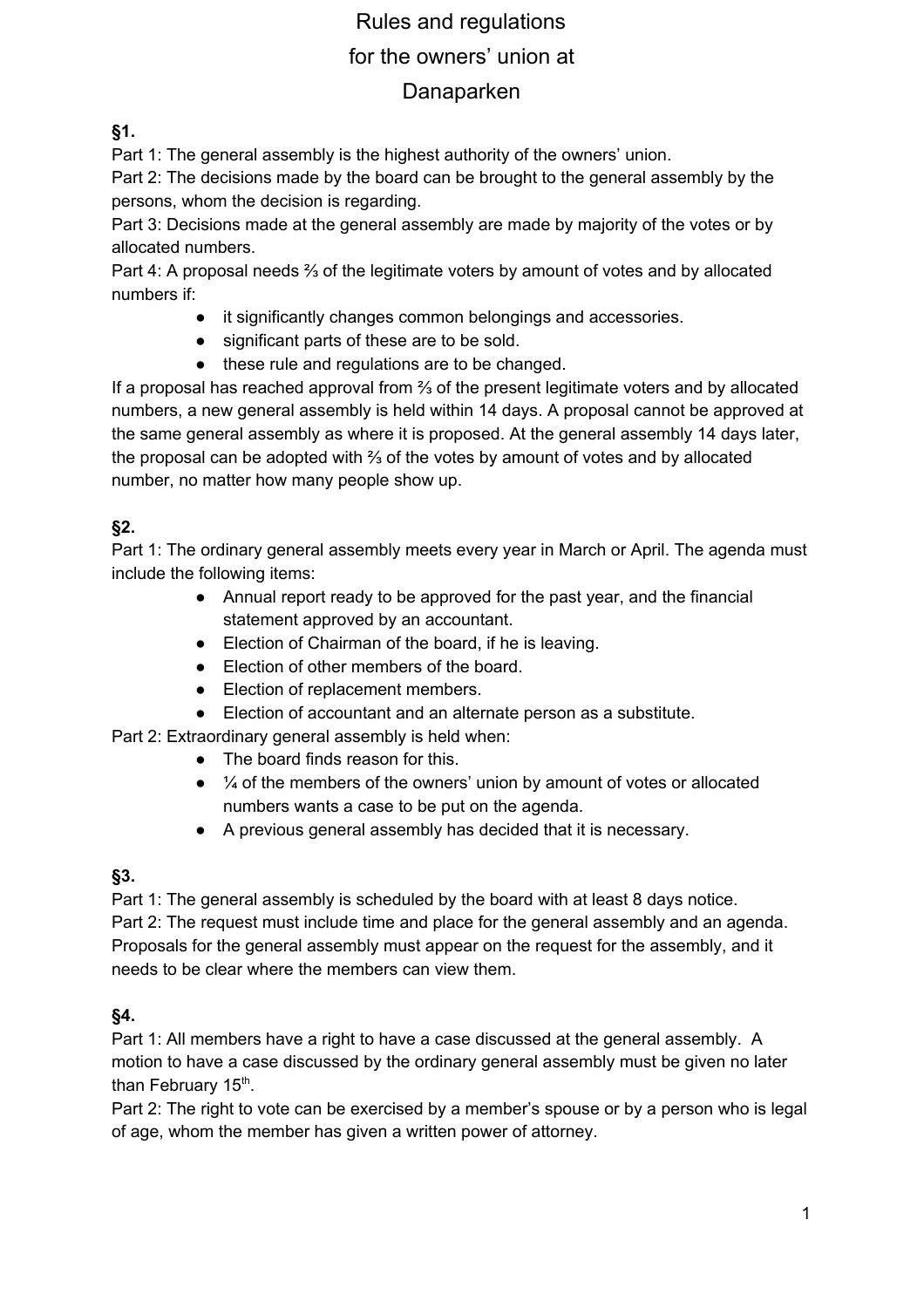# Rules and regulations for the owners' union at Danaparken

**§1.**

Part 1: The general assembly is the highest authority of the owners' union.

Part 2: The decisions made by the board can be brought to the general assembly by the persons, whom the decision is regarding.

Part 3: Decisions made at the general assembly are made by majority of the votes or by allocated numbers.

Part 4: A proposal needs ⅔ of the legitimate voters by amount of votes and by allocated numbers if:

- it significantly changes common belongings and accessories.
- significant parts of these are to be sold.
- these rule and regulations are to be changed.

If a proposal has reached approval from ⅔ of the present legitimate voters and by allocated numbers, a new general assembly is held within 14 days. A proposal cannot be approved at the same general assembly as where it is proposed. At the general assembly 14 days later, the proposal can be adopted with ⅔ of the votes by amount of votes and by allocated number, no matter how many people show up.

### **§2.**

Part 1: The ordinary general assembly meets every year in March or April. The agenda must include the following items:

- Annual report ready to be approved for the past year, and the financial statement approved by an accountant.
- Election of Chairman of the board, if he is leaving.
- Election of other members of the board.
- Election of replacement members.
- Election of accountant and an alternate person as a substitute.

Part 2: Extraordinary general assembly is held when:

- The board finds reason for this.
- $\bullet$   $\frac{1}{4}$  of the members of the owners' union by amount of votes or allocated numbers wants a case to be put on the agenda.
- A previous general assembly has decided that it is necessary.

#### **§3.**

Part 1: The general assembly is scheduled by the board with at least 8 days notice. Part 2: The request must include time and place for the general assembly and an agenda. Proposals for the general assembly must appear on the request for the assembly, and it needs to be clear where the members can view them.

#### **§4.**

Part 1: All members have a right to have a case discussed at the general assembly. A motion to have a case discussed by the ordinary general assembly must be given no later than February 15<sup>th</sup>.

Part 2: The right to vote can be exercised by a member's spouse or by a person who is legal of age, whom the member has given a written power of attorney.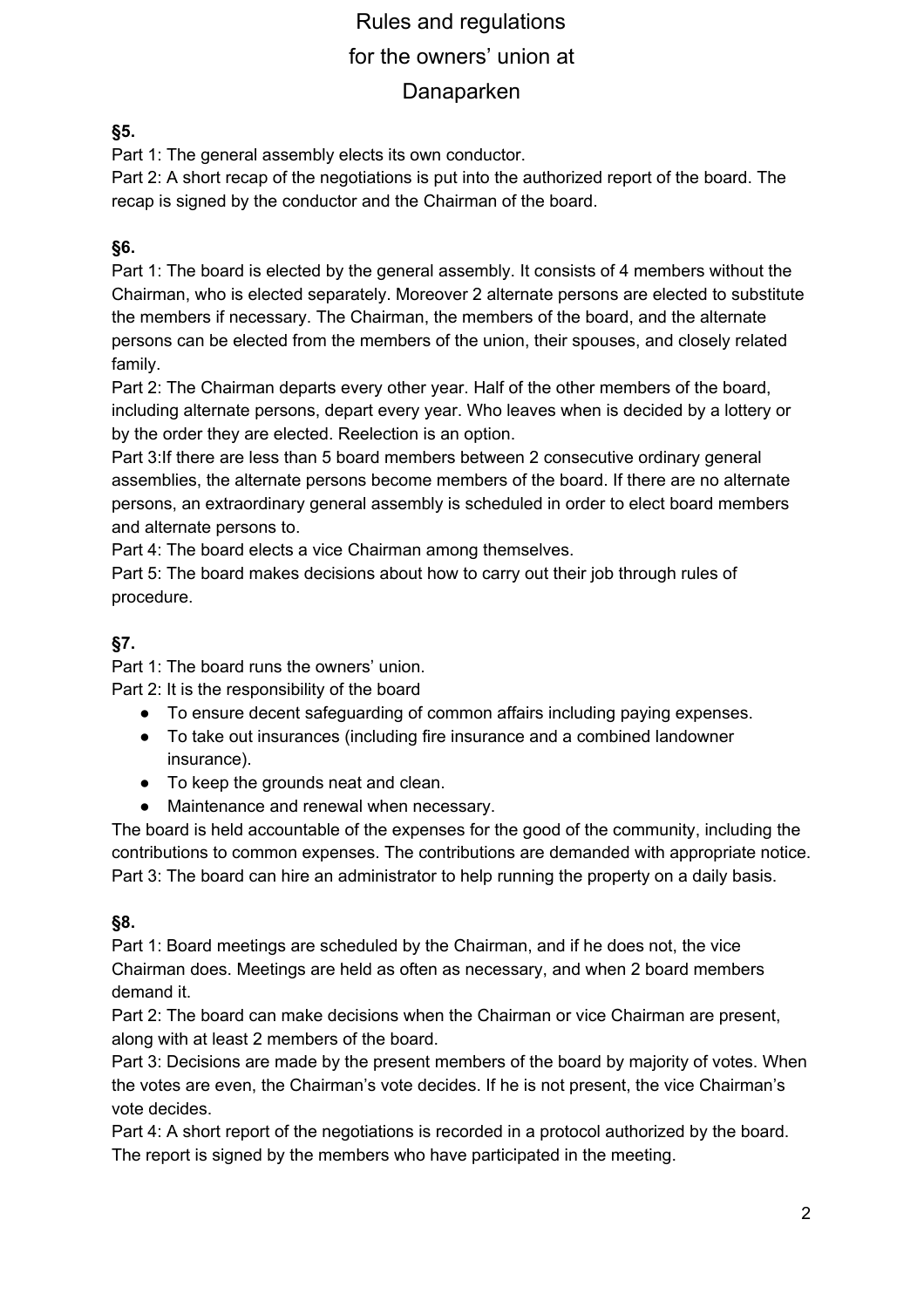# Rules and regulations for the owners' union at Danaparken

#### **§5.**

Part 1: The general assembly elects its own conductor.

Part 2: A short recap of the negotiations is put into the authorized report of the board. The recap is signed by the conductor and the Chairman of the board.

#### **§6.**

Part 1: The board is elected by the general assembly. It consists of 4 members without the Chairman, who is elected separately. Moreover 2 alternate persons are elected to substitute the members if necessary. The Chairman, the members of the board, and the alternate persons can be elected from the members of the union, their spouses, and closely related family.

Part 2: The Chairman departs every other year. Half of the other members of the board, including alternate persons, depart every year. Who leaves when is decided by a lottery or by the order they are elected. Reelection is an option.

Part 3:If there are less than 5 board members between 2 consecutive ordinary general assemblies, the alternate persons become members of the board. If there are no alternate persons, an extraordinary general assembly is scheduled in order to elect board members and alternate persons to.

Part 4: The board elects a vice Chairman among themselves.

Part 5: The board makes decisions about how to carry out their job through rules of procedure.

# **§7.**

Part 1: The board runs the owners' union.

Part 2: It is the responsibility of the board

- To ensure decent safeguarding of common affairs including paying expenses.
- To take out insurances (including fire insurance and a combined landowner insurance).
- To keep the grounds neat and clean.
- Maintenance and renewal when necessary.

The board is held accountable of the expenses for the good of the community, including the contributions to common expenses. The contributions are demanded with appropriate notice. Part 3: The board can hire an administrator to help running the property on a daily basis.

#### **§8.**

Part 1: Board meetings are scheduled by the Chairman, and if he does not, the vice Chairman does. Meetings are held as often as necessary, and when 2 board members demand it.

Part 2: The board can make decisions when the Chairman or vice Chairman are present, along with at least 2 members of the board.

Part 3: Decisions are made by the present members of the board by majority of votes. When the votes are even, the Chairman's vote decides. If he is not present, the vice Chairman's vote decides.

Part 4: A short report of the negotiations is recorded in a protocol authorized by the board. The report is signed by the members who have participated in the meeting.